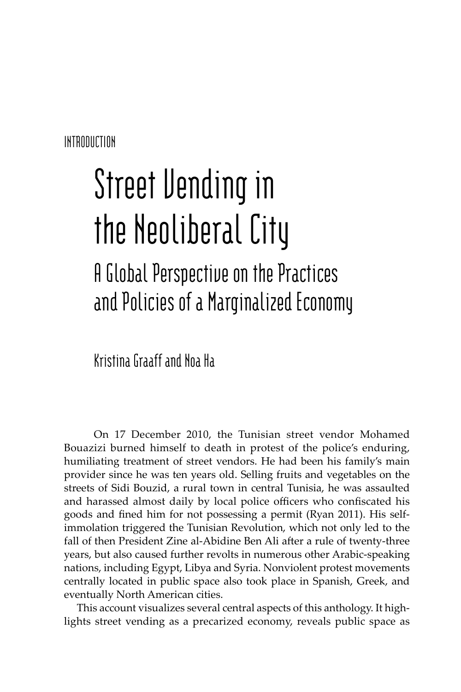INTRODUCTION

# Street Vending in the Neoliberal City

# A Global Perspective on the Practices and Policies of a Marginalized Economy

Kristina Graaff and Noa Ha

On 17 December 2010, the Tunisian street vendor Mohamed Bouazizi burned himself to death in protest of the police's enduring, humiliating treatment of street vendors. He had been his family's main provider since he was ten years old. Selling fruits and vegetables on the streets of Sidi Bouzid, a rural town in central Tunisia, he was assaulted and harassed almost daily by local police officers who confiscated his goods and fined him for not possessing a permit (Ryan 2011). His selfimmolation triggered the Tunisian Revolution, which not only led to the fall of then President Zine al-Abidine Ben Ali after a rule of twenty-three years, but also caused further revolts in numerous other Arabic-speaking nations, including Egypt, Libya and Syria. Nonviolent protest movements centrally located in public space also took place in Spanish, Greek, and eventually North American cities.

This account visualizes several central aspects of this anthology. It highlights street vending as a precarized economy, reveals public space as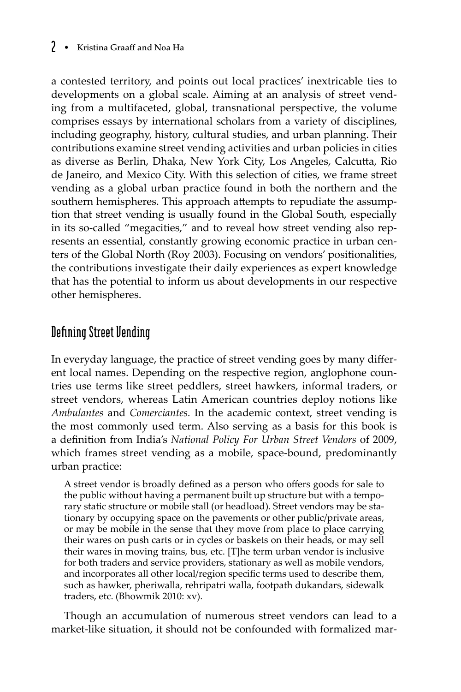a contested territory, and points out local practices' inextricable ties to developments on a global scale. Aiming at an analysis of street vending from a multifaceted, global, transnational perspective, the volume comprises essays by international scholars from a variety of disciplines, including geography, history, cultural studies, and urban planning. Their contributions examine street vending activities and urban policies in cities as diverse as Berlin, Dhaka, New York City, Los Angeles, Calcutta, Rio de Janeiro, and Mexico City. With this selection of cities, we frame street vending as a global urban practice found in both the northern and the southern hemispheres. This approach attempts to repudiate the assumption that street vending is usually found in the Global South, especially in its so-called "megacities," and to reveal how street vending also represents an essential, constantly growing economic practice in urban centers of the Global North (Roy 2003). Focusing on vendors' positionalities, the contributions investigate their daily experiences as expert knowledge that has the potential to inform us about developments in our respective other hemispheres.

# **Defi ning Street Vending**

In everyday language, the practice of street vending goes by many different local names. Depending on the respective region, anglophone countries use terms like street peddlers, street hawkers, informal traders, or street vendors, whereas Latin American countries deploy notions like *Ambulantes* and *Comerciantes.* In the academic context, street vending is the most commonly used term. Also serving as a basis for this book is a defi nition from India's *National Policy For Urban Street Vendors* of 2009, which frames street vending as a mobile, space-bound, predominantly urban practice:

A street vendor is broadly defined as a person who offers goods for sale to the public without having a permanent built up structure but with a temporary static structure or mobile stall (or headload). Street vendors may be stationary by occupying space on the pavements or other public/private areas, or may be mobile in the sense that they move from place to place carrying their wares on push carts or in cycles or baskets on their heads, or may sell their wares in moving trains, bus, etc. [T]he term urban vendor is inclusive for both traders and service providers, stationary as well as mobile vendors, and incorporates all other local/region specific terms used to describe them, such as hawker, pheriwalla, rehripatri walla, footpath dukandars, sidewalk traders, etc. (Bhowmik 2010: xv).

Though an accumulation of numerous street vendors can lead to a market-like situation, it should not be confounded with formalized mar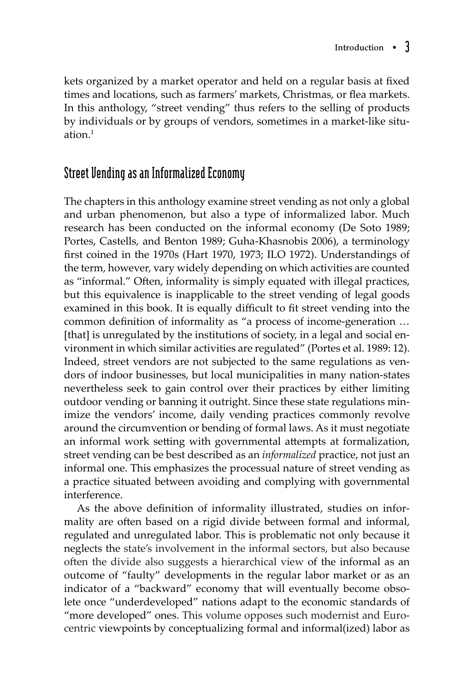kets organized by a market operator and held on a regular basis at fixed times and locations, such as farmers' markets, Christmas, or flea markets. In this anthology, "street vending" thus refers to the selling of products by individuals or by groups of vendors, sometimes in a market-like situation. $1$ 

# **Street Vending as an Informalized Economy**

The chapters in this anthology examine street vending as not only a global and urban phenomenon, but also a type of informalized labor. Much research has been conducted on the informal economy (De Soto 1989; Portes, Castells, and Benton 1989; Guha-Khasnobis 2006), a terminology first coined in the 1970s (Hart 1970, 1973; ILO 1972). Understandings of the term, however, vary widely depending on which activities are counted as "informal." Often, informality is simply equated with illegal practices, but this equivalence is inapplicable to the street vending of legal goods examined in this book. It is equally difficult to fit street vending into the common definition of informality as "a process of income-generation ... [that] is unregulated by the institutions of society, in a legal and social environment in which similar activities are regulated" (Portes et al. 1989: 12). Indeed, street vendors are not subjected to the same regulations as vendors of indoor businesses, but local municipalities in many nation-states nevertheless seek to gain control over their practices by either limiting outdoor vending or banning it outright. Since these state regulations minimize the vendors' income, daily vending practices commonly revolve around the circumvention or bending of formal laws. As it must negotiate an informal work setting with governmental attempts at formalization, street vending can be best described as an *informalized* practice, not just an informal one. This emphasizes the processual nature of street vending as a practice situated between avoiding and complying with governmental interference.

As the above definition of informality illustrated, studies on informality are often based on a rigid divide between formal and informal, regulated and unregulated labor. This is problematic not only because it neglects the state's involvement in the informal sectors, but also because often the divide also suggests a hierarchical view of the informal as an outcome of "faulty" developments in the regular labor market or as an indicator of a "backward" economy that will eventually become obsolete once "underdeveloped" nations adapt to the economic standards of "more developed" ones. This volume opposes such modernist and Eurocentric viewpoints by conceptualizing formal and informal(ized) labor as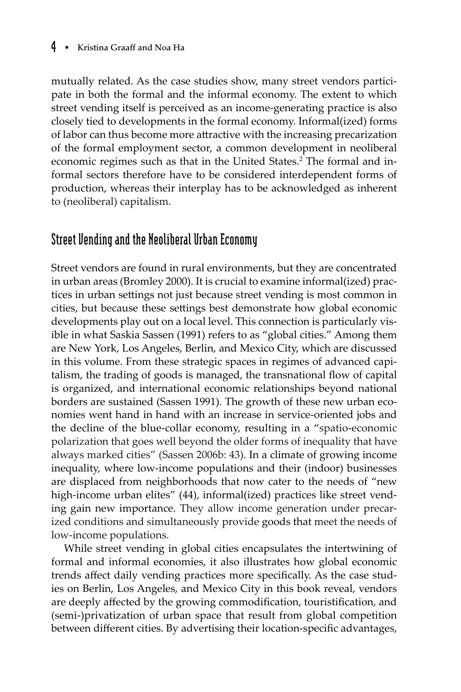mutually related. As the case studies show, many street vendors participate in both the formal and the informal economy. The extent to which street vending itself is perceived as an income-generating practice is also closely tied to developments in the formal economy. Informal(ized) forms of labor can thus become more attractive with the increasing precarization of the formal employment sector, a common development in neoliberal economic regimes such as that in the United States.<sup>2</sup> The formal and informal sectors therefore have to be considered interdependent forms of production, whereas their interplay has to be acknowledged as inherent to (neoliberal) capitalism.

## **Street Vending and the Neoliberal Urban Economy**

Street vendors are found in rural environments, but they are concentrated in urban areas (Bromley 2000). It is crucial to examine informal(ized) practices in urban settings not just because street vending is most common in cities, but because these settings best demonstrate how global economic developments play out on a local level. This connection is particularly visible in what Saskia Sassen (1991) refers to as "global cities." Among them are New York, Los Angeles, Berlin, and Mexico City, which are discussed in this volume. From these strategic spaces in regimes of advanced capitalism, the trading of goods is managed, the transnational flow of capital is organized, and international economic relationships beyond national borders are sustained (Sassen 1991). The growth of these new urban economies went hand in hand with an increase in service-oriented jobs and the decline of the blue-collar economy, resulting in a "spatio-economic polarization that goes well beyond the older forms of inequality that have always marked cities" (Sassen 2006b: 43). In a climate of growing income inequality, where low-income populations and their (indoor) businesses are displaced from neighborhoods that now cater to the needs of "new high-income urban elites" (44), informal(ized) practices like street vending gain new importance. They allow income generation under precarized conditions and simultaneously provide goods that meet the needs of low-income populations.

While street vending in global cities encapsulates the intertwining of formal and informal economies, it also illustrates how global economic trends affect daily vending practices more specifically. As the case studies on Berlin, Los Angeles, and Mexico City in this book reveal, vendors are deeply affected by the growing commodification, touristification, and (semi-)privatization of urban space that result from global competition between different cities. By advertising their location-specific advantages,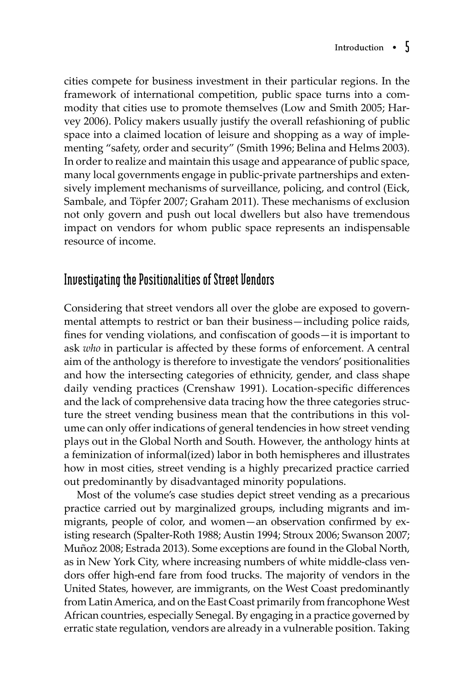cities compete for business investment in their particular regions. In the framework of international competition, public space turns into a commodity that cities use to promote themselves (Low and Smith 2005; Harvey 2006). Policy makers usually justify the overall refashioning of public space into a claimed location of leisure and shopping as a way of implementing "safety, order and security" (Smith 1996; Belina and Helms 2003). In order to realize and maintain this usage and appearance of public space, many local governments engage in public-private partnerships and extensively implement mechanisms of surveillance, policing, and control (Eick, Sambale, and Töpfer 2007; Graham 2011). These mechanisms of exclusion not only govern and push out local dwellers but also have tremendous impact on vendors for whom public space represents an indispensable resource of income.

# **Investigating the Positionalities of Street Vendors**

Considering that street vendors all over the globe are exposed to governmental attempts to restrict or ban their business—including police raids, fines for vending violations, and confiscation of goods—it is important to ask *who* in particular is affected by these forms of enforcement. A central aim of the anthology is therefore to investigate the vendors' positionalities and how the intersecting categories of ethnicity, gender, and class shape daily vending practices (Crenshaw 1991). Location-specific differences and the lack of comprehensive data tracing how the three categories structure the street vending business mean that the contributions in this volume can only offer indications of general tendencies in how street vending plays out in the Global North and South. However, the anthology hints at a feminization of informal(ized) labor in both hemispheres and illustrates how in most cities, street vending is a highly precarized practice carried out predominantly by disadvantaged minority populations.

Most of the volume's case studies depict street vending as a precarious practice carried out by marginalized groups, including migrants and immigrants, people of color, and women—an observation confirmed by existing research (Spalter-Roth 1988; Austin 1994; Stroux 2006; Swanson 2007; Muñoz 2008; Estrada 2013). Some exceptions are found in the Global North, as in New York City, where increasing numbers of white middle-class vendors offer high-end fare from food trucks. The majority of vendors in the United States, however, are immigrants, on the West Coast predominantly from Latin America, and on the East Coast primarily from francophone West African countries, especially Senegal. By engaging in a practice governed by erratic state regulation, vendors are already in a vulnerable position. Taking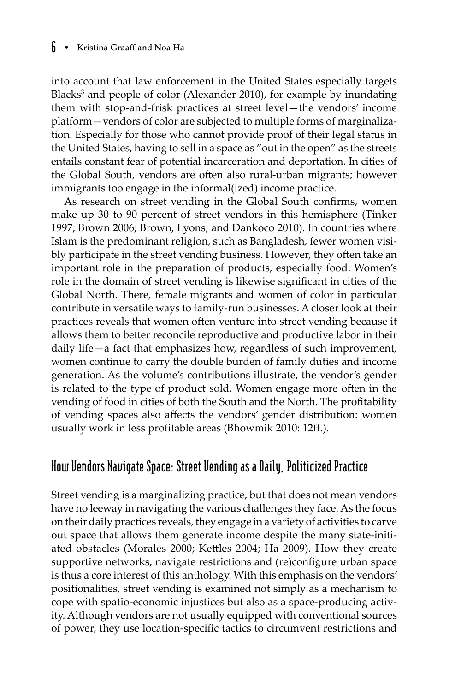into account that law enforcement in the United States especially targets Blacks<sup>3</sup> and people of color (Alexander 2010), for example by inundating them with stop-and-frisk practices at street level—the vendors' income platform—vendors of color are subjected to multiple forms of marginalization. Especially for those who cannot provide proof of their legal status in the United States, having to sell in a space as "out in the open" as the streets entails constant fear of potential incarceration and deportation. In cities of the Global South, vendors are often also rural-urban migrants; however immigrants too engage in the informal(ized) income practice.

As research on street vending in the Global South confirms, women make up 30 to 90 percent of street vendors in this hemisphere (Tinker 1997; Brown 2006; Brown, Lyons, and Dankoco 2010). In countries where Islam is the predominant religion, such as Bangladesh, fewer women visibly participate in the street vending business. However, they often take an important role in the preparation of products, especially food. Women's role in the domain of street vending is likewise significant in cities of the Global North. There, female migrants and women of color in particular contribute in versatile ways to family-run businesses. A closer look at their practices reveals that women often venture into street vending because it allows them to better reconcile reproductive and productive labor in their daily life—a fact that emphasizes how, regardless of such improvement, women continue to carry the double burden of family duties and income generation. As the volume's contributions illustrate, the vendor's gender is related to the type of product sold. Women engage more often in the vending of food in cities of both the South and the North. The profitability of vending spaces also affects the vendors' gender distribution: women usually work in less profitable areas (Bhowmik 2010: 12ff.).

## **How Vendors Navigate Space: Street Vending as a Daily, Politicized Practice**

Street vending is a marginalizing practice, but that does not mean vendors have no leeway in navigating the various challenges they face. As the focus on their daily practices reveals, they engage in a variety of activities to carve out space that allows them generate income despite the many state-initiated obstacles (Morales 2000; Kettles 2004; Ha 2009). How they create supportive networks, navigate restrictions and (re)configure urban space is thus a core interest of this anthology. With this emphasis on the vendors' positionalities, street vending is examined not simply as a mechanism to cope with spatio-economic injustices but also as a space-producing activity. Although vendors are not usually equipped with conventional sources of power, they use location-specific tactics to circumvent restrictions and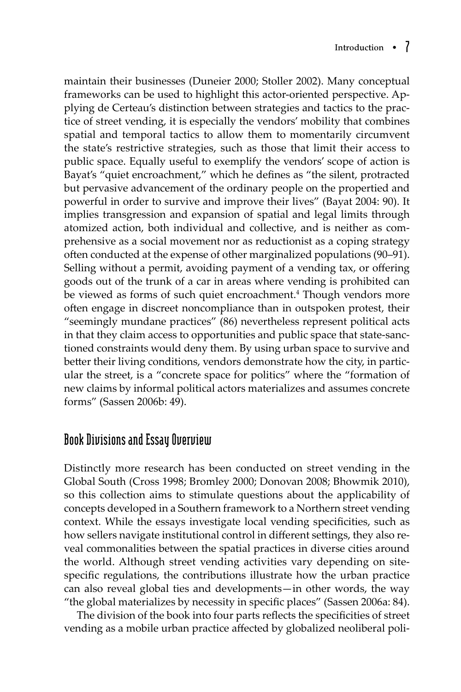maintain their businesses (Duneier 2000; Stoller 2002). Many conceptual frameworks can be used to highlight this actor-oriented perspective. Applying de Certeau's distinction between strategies and tactics to the practice of street vending, it is especially the vendors' mobility that combines spatial and temporal tactics to allow them to momentarily circumvent the state's restrictive strategies, such as those that limit their access to public space. Equally useful to exemplify the vendors' scope of action is Bayat's "quiet encroachment," which he defines as "the silent, protracted but pervasive advancement of the ordinary people on the propertied and powerful in order to survive and improve their lives" (Bayat 2004: 90). It implies transgression and expansion of spatial and legal limits through atomized action, both individual and collective, and is neither as comprehensive as a social movement nor as reductionist as a coping strategy often conducted at the expense of other marginalized populations (90–91). Selling without a permit, avoiding payment of a vending tax, or offering goods out of the trunk of a car in areas where vending is prohibited can be viewed as forms of such quiet encroachment.<sup>4</sup> Though vendors more often engage in discreet noncompliance than in outspoken protest, their "seemingly mundane practices" (86) nevertheless represent political acts in that they claim access to opportunities and public space that state-sanctioned constraints would deny them. By using urban space to survive and better their living conditions, vendors demonstrate how the city, in particular the street, is a "concrete space for politics" where the "formation of new claims by informal political actors materializes and assumes concrete forms" (Sassen 2006b: 49).

# **Book Divisions and Essay Overview**

Distinctly more research has been conducted on street vending in the Global South (Cross 1998; Bromley 2000; Donovan 2008; Bhowmik 2010), so this collection aims to stimulate questions about the applicability of concepts developed in a Southern framework to a Northern street vending context. While the essays investigate local vending specificities, such as how sellers navigate institutional control in different settings, they also reveal commonalities between the spatial practices in diverse cities around the world. Although street vending activities vary depending on sitespecific regulations, the contributions illustrate how the urban practice can also reveal global ties and developments—in other words, the way "the global materializes by necessity in specific places" (Sassen 2006a: 84).

The division of the book into four parts reflects the specificities of street vending as a mobile urban practice affected by globalized neoliberal poli-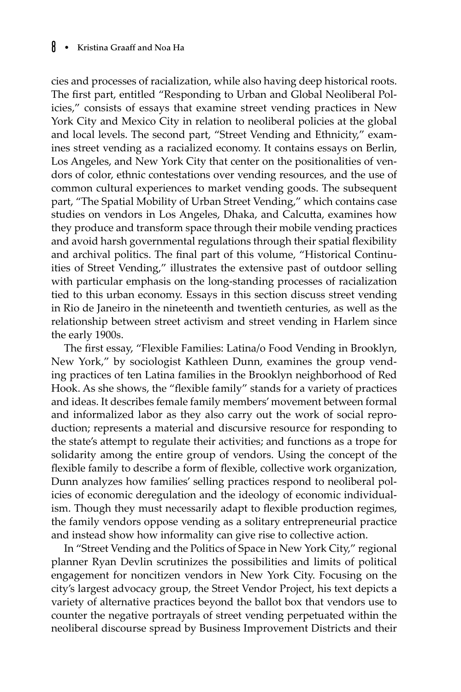cies and processes of racialization, while also having deep historical roots. The first part, entitled "Responding to Urban and Global Neoliberal Policies," consists of essays that examine street vending practices in New York City and Mexico City in relation to neoliberal policies at the global and local levels. The second part, "Street Vending and Ethnicity," examines street vending as a racialized economy. It contains essays on Berlin, Los Angeles, and New York City that center on the positionalities of vendors of color, ethnic contestations over vending resources, and the use of common cultural experiences to market vending goods. The subsequent part, "The Spatial Mobility of Urban Street Vending," which contains case studies on vendors in Los Angeles, Dhaka, and Calcutta, examines how they produce and transform space through their mobile vending practices and avoid harsh governmental regulations through their spatial flexibility and archival politics. The final part of this volume, "Historical Continuities of Street Vending," illustrates the extensive past of outdoor selling with particular emphasis on the long-standing processes of racialization tied to this urban economy. Essays in this section discuss street vending in Rio de Janeiro in the nineteenth and twentieth centuries, as well as the relationship between street activism and street vending in Harlem since the early 1900s.

The first essay, "Flexible Families: Latina/o Food Vending in Brooklyn, New York," by sociologist Kathleen Dunn, examines the group vending practices of ten Latina families in the Brooklyn neighborhood of Red Hook. As she shows, the "flexible family" stands for a variety of practices and ideas. It describes female family members' movement between formal and informalized labor as they also carry out the work of social reproduction; represents a material and discursive resource for responding to the state's attempt to regulate their activities; and functions as a trope for solidarity among the entire group of vendors. Using the concept of the flexible family to describe a form of flexible, collective work organization, Dunn analyzes how families' selling practices respond to neoliberal policies of economic deregulation and the ideology of economic individualism. Though they must necessarily adapt to flexible production regimes, the family vendors oppose vending as a solitary entrepreneurial practice and instead show how informality can give rise to collective action.

In "Street Vending and the Politics of Space in New York City," regional planner Ryan Devlin scrutinizes the possibilities and limits of political engagement for noncitizen vendors in New York City. Focusing on the city's largest advocacy group, the Street Vendor Project, his text depicts a variety of alternative practices beyond the ballot box that vendors use to counter the negative portrayals of street vending perpetuated within the neoliberal discourse spread by Business Improvement Districts and their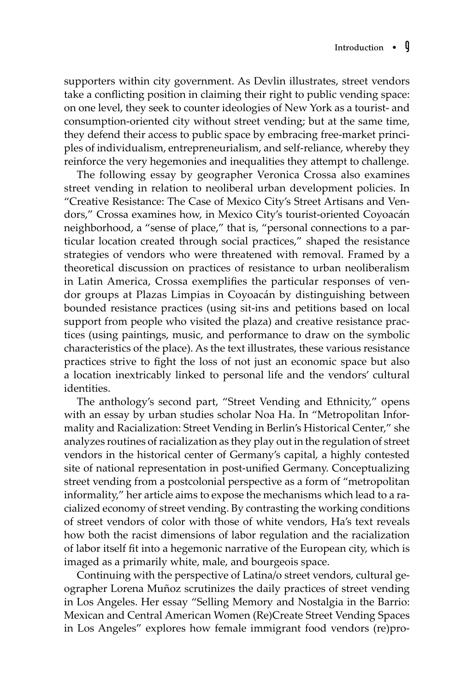supporters within city government. As Devlin illustrates, street vendors take a conflicting position in claiming their right to public vending space: on one level, they seek to counter ideologies of New York as a tourist- and consumption-oriented city without street vending; but at the same time, they defend their access to public space by embracing free-market principles of individualism, entrepreneurialism, and self-reliance, whereby they reinforce the very hegemonies and inequalities they attempt to challenge.

The following essay by geographer Veronica Crossa also examines street vending in relation to neoliberal urban development policies. In "Creative Resistance: The Case of Mexico City's Street Artisans and Vendors," Crossa examines how, in Mexico City's tourist-oriented Coyoacán neighborhood, a "sense of place," that is, "personal connections to a particular location created through social practices," shaped the resistance strategies of vendors who were threatened with removal. Framed by a theoretical discussion on practices of resistance to urban neoliberalism in Latin America, Crossa exemplifies the particular responses of vendor groups at Plazas Limpias in Coyoacán by distinguishing between bounded resistance practices (using sit-ins and petitions based on local support from people who visited the plaza) and creative resistance practices (using paintings, music, and performance to draw on the symbolic characteristics of the place). As the text illustrates, these various resistance practices strive to fight the loss of not just an economic space but also a location inextricably linked to personal life and the vendors' cultural identities.

The anthology's second part, "Street Vending and Ethnicity," opens with an essay by urban studies scholar Noa Ha. In "Metropolitan Informality and Racialization: Street Vending in Berlin's Historical Center," she analyzes routines of racialization as they play out in the regulation of street vendors in the historical center of Germany's capital, a highly contested site of national representation in post-unified Germany. Conceptualizing street vending from a postcolonial perspective as a form of "metropolitan informality," her article aims to expose the mechanisms which lead to a racialized economy of street vending. By contrasting the working conditions of street vendors of color with those of white vendors, Ha's text reveals how both the racist dimensions of labor regulation and the racialization of labor itself fit into a hegemonic narrative of the European city, which is imaged as a primarily white, male, and bourgeois space.

Continuing with the perspective of Latina/o street vendors, cultural geographer Lorena Muñoz scrutinizes the daily practices of street vending in Los Angeles. Her essay "Selling Memory and Nostalgia in the Barrio: Mexican and Central American Women (Re)Create Street Vending Spaces in Los Angeles" explores how female immigrant food vendors (re)pro-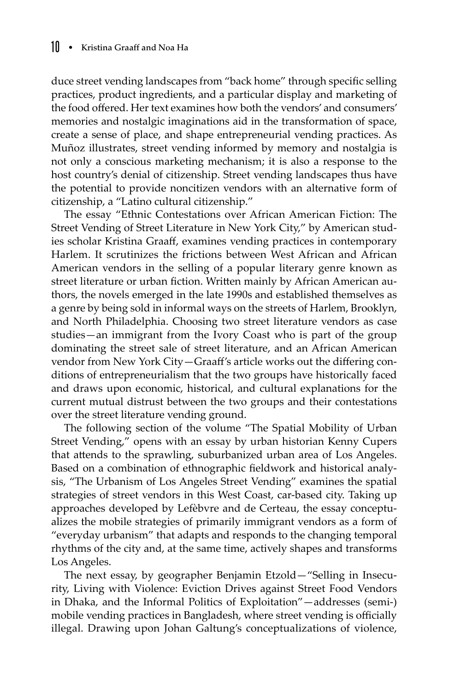duce street vending landscapes from "back home" through specific selling practices, product ingredients, and a particular display and marketing of the food offered. Her text examines how both the vendors' and consumers' memories and nostalgic imaginations aid in the transformation of space, create a sense of place, and shape entrepreneurial vending practices. As Muñoz illustrates, street vending informed by memory and nostalgia is not only a conscious marketing mechanism; it is also a response to the host country's denial of citizenship. Street vending landscapes thus have the potential to provide noncitizen vendors with an alternative form of citizenship, a "Latino cultural citizenship."

The essay "Ethnic Contestations over African American Fiction: The Street Vending of Street Literature in New York City," by American studies scholar Kristina Graaff, examines vending practices in contemporary Harlem. It scrutinizes the frictions between West African and African American vendors in the selling of a popular literary genre known as street literature or urban fiction. Written mainly by African American authors, the novels emerged in the late 1990s and established themselves as a genre by being sold in informal ways on the streets of Harlem, Brooklyn, and North Philadelphia. Choosing two street literature vendors as case studies—an immigrant from the Ivory Coast who is part of the group dominating the street sale of street literature, and an African American vendor from New York City-Graaff's article works out the differing conditions of entrepreneurialism that the two groups have historically faced and draws upon economic, historical, and cultural explanations for the current mutual distrust between the two groups and their contestations over the street literature vending ground.

The following section of the volume "The Spatial Mobility of Urban Street Vending," opens with an essay by urban historian Kenny Cupers that attends to the sprawling, suburbanized urban area of Los Angeles. Based on a combination of ethnographic fieldwork and historical analysis, "The Urbanism of Los Angeles Street Vending" examines the spatial strategies of street vendors in this West Coast, car-based city. Taking up approaches developed by Lefèbvre and de Certeau, the essay conceptualizes the mobile strategies of primarily immigrant vendors as a form of "everyday urbanism" that adapts and responds to the changing temporal rhythms of the city and, at the same time, actively shapes and transforms Los Angeles.

The next essay, by geographer Benjamin Etzold—"Selling in Insecurity, Living with Violence: Eviction Drives against Street Food Vendors in Dhaka, and the Informal Politics of Exploitation"—addresses (semi-) mobile vending practices in Bangladesh, where street vending is officially illegal. Drawing upon Johan Galtung's conceptualizations of violence,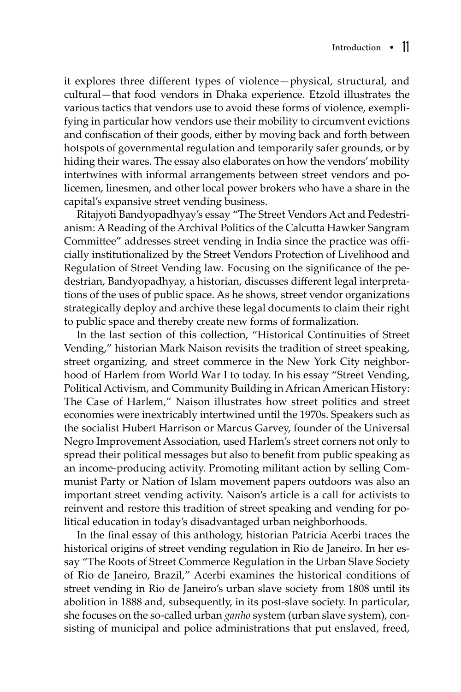it explores three different types of violence-physical, structural, and cultural—that food vendors in Dhaka experience. Etzold illustrates the various tactics that vendors use to avoid these forms of violence, exemplifying in particular how vendors use their mobility to circumvent evictions and confiscation of their goods, either by moving back and forth between hotspots of governmental regulation and temporarily safer grounds, or by hiding their wares. The essay also elaborates on how the vendors' mobility intertwines with informal arrangements between street vendors and policemen, linesmen, and other local power brokers who have a share in the capital's expansive street vending business.

Ritajyoti Bandyopadhyay's essay "The Street Vendors Act and Pedestrianism: A Reading of the Archival Politics of the Calcutta Hawker Sangram Committee" addresses street vending in India since the practice was officially institutionalized by the Street Vendors Protection of Livelihood and Regulation of Street Vending law. Focusing on the significance of the pedestrian, Bandyopadhyay, a historian, discusses different legal interpretations of the uses of public space. As he shows, street vendor organizations strategically deploy and archive these legal documents to claim their right to public space and thereby create new forms of formalization.

In the last section of this collection, "Historical Continuities of Street Vending," historian Mark Naison revisits the tradition of street speaking, street organizing, and street commerce in the New York City neighborhood of Harlem from World War I to today. In his essay "Street Vending, Political Activism, and Community Building in African American History: The Case of Harlem," Naison illustrates how street politics and street economies were inextricably intertwined until the 1970s. Speakers such as the socialist Hubert Harrison or Marcus Garvey, founder of the Universal Negro Improvement Association, used Harlem's street corners not only to spread their political messages but also to benefit from public speaking as an income-producing activity. Promoting militant action by selling Communist Party or Nation of Islam movement papers outdoors was also an important street vending activity. Naison's article is a call for activists to reinvent and restore this tradition of street speaking and vending for political education in today's disadvantaged urban neighborhoods.

In the final essay of this anthology, historian Patricia Acerbi traces the historical origins of street vending regulation in Rio de Janeiro. In her essay "The Roots of Street Commerce Regulation in the Urban Slave Society of Rio de Janeiro, Brazil," Acerbi examines the historical conditions of street vending in Rio de Janeiro's urban slave society from 1808 until its abolition in 1888 and, subsequently, in its post-slave society. In particular, she focuses on the so-called urban *ganho* system (urban slave system), consisting of municipal and police administrations that put enslaved, freed,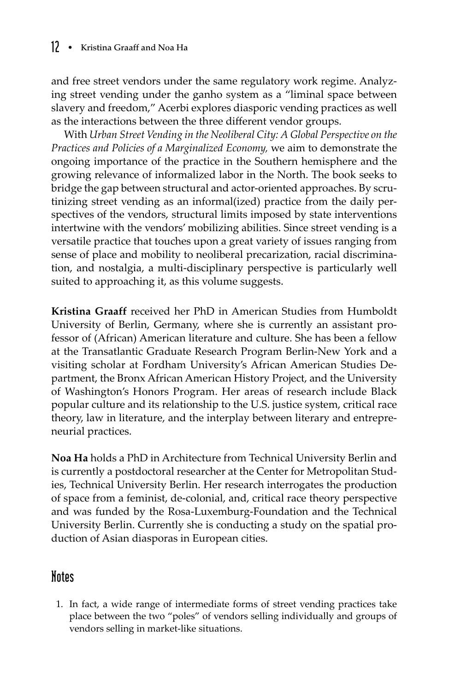and free street vendors under the same regulatory work regime. Analyzing street vending under the ganho system as a "liminal space between slavery and freedom," Acerbi explores diasporic vending practices as well as the interactions between the three different vendor groups.

With *Urban Street Vending in the Neoliberal City: A Global Perspective on the Practices and Policies of a Marginalized Economy,* we aim to demonstrate the ongoing importance of the practice in the Southern hemisphere and the growing relevance of informalized labor in the North. The book seeks to bridge the gap between structural and actor-oriented approaches. By scrutinizing street vending as an informal(ized) practice from the daily perspectives of the vendors, structural limits imposed by state interventions intertwine with the vendors' mobilizing abilities. Since street vending is a versatile practice that touches upon a great variety of issues ranging from sense of place and mobility to neoliberal precarization, racial discrimination, and nostalgia, a multi-disciplinary perspective is particularly well suited to approaching it, as this volume suggests.

**Kristina Graaff** received her PhD in American Studies from Humboldt University of Berlin, Germany, where she is currently an assistant professor of (African) American literature and culture. She has been a fellow at the Transatlantic Graduate Research Program Berlin-New York and a visiting scholar at Fordham University's African American Studies Department, the Bronx African American History Project, and the University of Washington's Honors Program. Her areas of research include Black popular culture and its relationship to the U.S. justice system, critical race theory, law in literature, and the interplay between literary and entrepreneurial practices.

**Noa Ha** holds a PhD in Architecture from Technical University Berlin and is currently a postdoctoral researcher at the Center for Metropolitan Studies, Technical University Berlin. Her research interrogates the production of space from a feminist, de-colonial, and, critical race theory perspective and was funded by the Rosa-Luxemburg-Foundation and the Technical University Berlin. Currently she is conducting a study on the spatial production of Asian diasporas in European cities.

## **Notes**

1. In fact, a wide range of intermediate forms of street vending practices take place between the two "poles" of vendors selling individually and groups of vendors selling in market-like situations.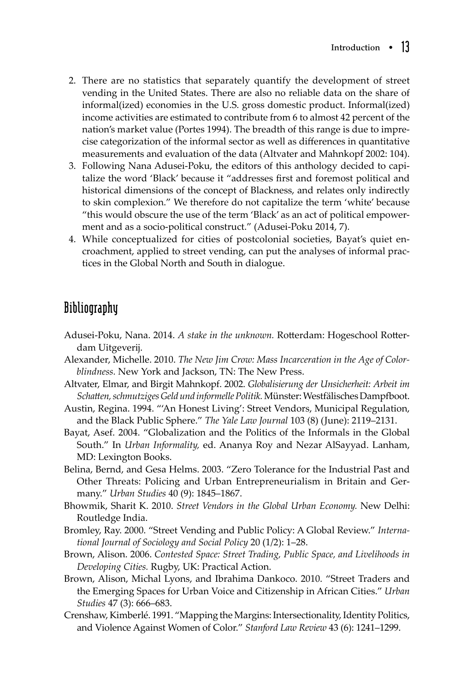- 2. There are no statistics that separately quantify the development of street vending in the United States. There are also no reliable data on the share of informal(ized) economies in the U.S. gross domestic product. Informal(ized) income activities are estimated to contribute from 6 to almost 42 percent of the nation's market value (Portes 1994). The breadth of this range is due to imprecise categorization of the informal sector as well as differences in quantitative measurements and evaluation of the data (Altvater and Mahnkopf 2002: 104).
- 3. Following Nana Adusei-Poku, the editors of this anthology decided to capitalize the word 'Black' because it "addresses first and foremost political and historical dimensions of the concept of Blackness, and relates only indirectly to skin complexion." We therefore do not capitalize the term 'white' because "this would obscure the use of the term 'Black' as an act of political empowerment and as a socio-political construct." (Adusei-Poku 2014, 7).
- 4. While conceptualized for cities of postcolonial societies, Bayat's quiet encroachment, applied to street vending, can put the analyses of informal practices in the Global North and South in dialogue.

# **Bibliography**

- Adusei-Poku, Nana. 2014. A stake in the unknown. Rotterdam: Hogeschool Rotterdam Uitgeverij.
- Alexander, Michelle. 2010. *The New Jim Crow: Mass Incarceration in the Age of Colorblindness.* New York and Jackson, TN: The New Press.
- Altvater, Elmar, and Birgit Mahnkopf. 2002. *Globalisierung der Unsicherheit: Arbeit im Sch att en, sch mutziges Geld und informelle Politik.* Münster: Westfälisch es Dampfb oot.
- Austin, Regina. 1994. "'An Honest Living': Street Vendors, Municipal Regulation, and the Black Public Sphere." *The Yale Law Journal* 103 (8) (June): 2119–2131.
- Bayat, Asef. 2004. "Globalization and the Politics of the Informals in the Global South." In *Urban Informality,* ed. Ananya Roy and Nezar AlSayyad. Lanham, MD: Lexington Books.
- Belina, Bernd, and Gesa Helms. 2003. "Zero Tolerance for the Industrial Past and Other Threats: Policing and Urban Entrepreneurialism in Britain and Germany." *Urban Studies* 40 (9): 1845–1867.
- Bhowmik, Sharit K. 2010. *Street Vendors in the Global Urban Economy.* New Delhi: Routledge India.
- Bromley, Ray. 2000. "Street Vending and Public Policy: A Global Review." *International Journal of Sociology and Social Policy* 20 (1/2): 1–28.
- Brown, Alison. 2006. *Contested Space: Street Trading, Public Space, and Livelihoods in Developing Cities.* Rugby, UK: Practical Action.
- Brown, Alison, Michal Lyons, and Ibrahima Dankoco. 2010. "Street Traders and the Emerging Spaces for Urban Voice and Citizenship in African Cities." *Urban Studies* 47 (3): 666–683.
- Crenshaw, Kimberlé. 1991. "Mapping the Margins: Intersectionality, Identity Politics, and Violence Against Women of Color." *Stanford Law Review* 43 (6): 1241–1299.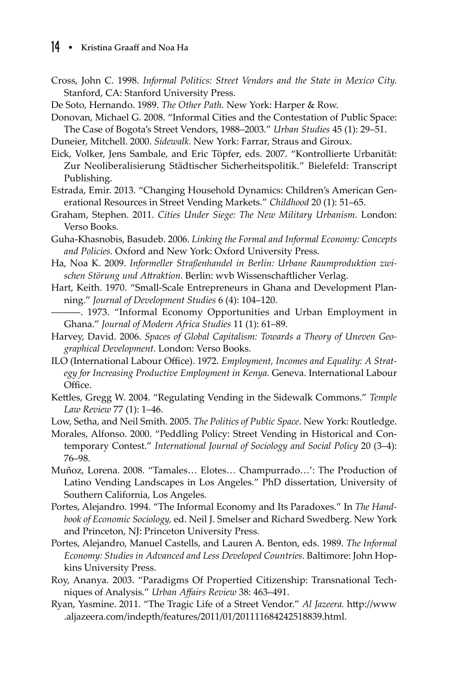Cross, John C. 1998. *Informal Politics: Street Vendors and the State in Mexico City.* Stanford, CA: Stanford University Press.

De Soto, Hernando. 1989. *The Other Path.* New York: Harper & Row.

Donovan, Michael G. 2008. "Informal Cities and the Contestation of Public Space: The Case of Bogota's Street Vendors, 1988–2003." *Urban Studies* 45 (1): 29–51.

Duneier, Mitchell. 2000. *Sidewalk.* New York: Farrar, Straus and Giroux.

- Eick, Volker, Jens Sambale, and Eric Töpfer, eds. 2007. "Kontrollierte Urbanität: Zur Neoliberalisierung Städtischer Sicherheitspolitik." Bielefeld: Transcript Publishing.
- Estrada, Emir. 2013. "Changing Household Dynamics: Children's American Generational Resources in Street Vending Markets." *Childhood* 20 (1): 51–65.
- Graham, Stephen. 2011. *Cities Under Siege: The New Military Urbanism.* London: Verso Books.
- Guha-Khasnobis, Basudeb. 2006. *Linking the Formal and Informal Economy: Concepts and Policies.* Oxford and New York: Oxford University Press.
- Ha, Noa K. 2009. *Informeller Straßenhandel in Berlin: Urbane Raumproduktion zwisch en Störung und Att raktion*. Berlin: wvb Wissenschaft licher Verlag.
- Hart, Keith. 1970. "Small-Scale Entrepreneurs in Ghana and Development Planning." *Journal of Development Studies* 6 (4): 104–120.
- ———. 1973. "Informal Economy Opportunities and Urban Employment in Ghana." *Journal of Modern Africa Studies* 11 (1): 61–89.
- Harvey, David. 2006. *Spaces of Global Capitalism: Towards a Theory of Uneven Geographical Development.* London: Verso Books.
- ILO (International Labour Office). 1972. *Employment*, Incomes and Equality: A Strat*egy for Increasing Productive Employment in Kenya.* Geneva. International Labour Office.
- Kettles, Gregg W. 2004. "Regulating Vending in the Sidewalk Commons." Temple *Law Review* 77 (1): 1–46.
- Low, Setha, and Neil Smith. 2005. *The Politics of Public Space.* New York: Routledge.
- Morales, Alfonso. 2000. "Peddling Policy: Street Vending in Historical and Contemporary Contest." *International Journal of Sociology and Social Policy* 20 (3–4): 76–98.
- Muñoz, Lorena. 2008. "Tamales… Elotes… Champurrado…': The Production of Latino Vending Landscapes in Los Angeles." PhD dissertation, University of Southern California, Los Angeles.
- Portes, Alejandro. 1994. "The Informal Economy and Its Paradoxes." In *The Handbook of Economic Sociology,* ed. Neil J. Smelser and Richard Swedberg. New York and Princeton, NJ: Princeton University Press.
- Portes, Alejandro, Manuel Castells, and Lauren A. Benton, eds. 1989. *The Informal Economy: Studies in Advanced and Less Developed Countries.* Baltimore: John Hopkins University Press.
- Roy, Ananya. 2003. "Paradigms Of Propertied Citizenship: Transnational Techniques of Analysis." *Urban Affairs Review* 38: 463-491.
- Ryan, Yasmine. 2011. "The Tragic Life of a Street Vendor." Al Jazeera. http://www .aljazeera.com/indepth/features/2011/01/201111684242518839.html.